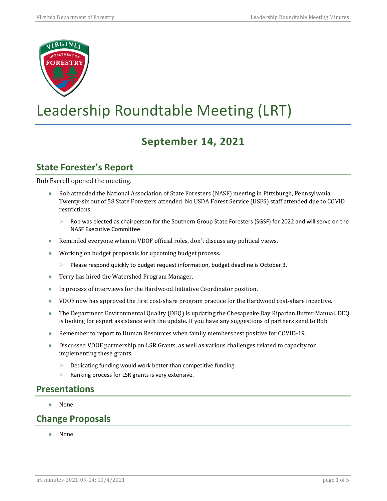

# Leadership Roundtable Meeting (LRT)

# **September 14, 2021**

## **State Forester's Report**

Rob Farrell opened the meeting.

- ♦ Rob attended the National Association of State Foresters (NASF) meeting in Pittsburgh, Pennsylvania. Twenty-six out of 58 State Foresters attended. No USDA Forest Service (USFS) staff attended due to COVID restrictions
	- Rob was elected as chairperson for the Southern Group State Foresters (SGSF) for 2022 and will serve on the NASF Executive Committee
- ♦ Reminded everyone when in VDOF official roles, don't discuss any political views.
- ♦ Working on budget proposals for upcoming budget process.
	- Please respond quickly to budget request information, budget deadline is October 3.
- ♦ Terry has hired the Watershed Program Manager.
- ♦ In process of interviews for the Hardwood Initiative Coordinator position.
- ♦ VDOF now has approved the first cost-share program practice for the Hardwood cost-share incentive.
- ♦ The Department Environmental Quality (DEQ) is updating the Chesapeake Bay Riparian Buffer Manual. DEQ is looking for expert assistance with the update. If you have any suggestions of partners send to Rob.
- ♦ Remember to report to Human Resources when family members test positive for COVID-19.
- ♦ Discussed VDOF partnership on LSR Grants, as well as various challenges related to capacity for implementing these grants.
	- Dedicating funding would work better than competitive funding.
	- $\triangleright$  Ranking process for LSR grants is very extensive.

#### **Presentations**

♦ None

#### **Change Proposals**

♦ None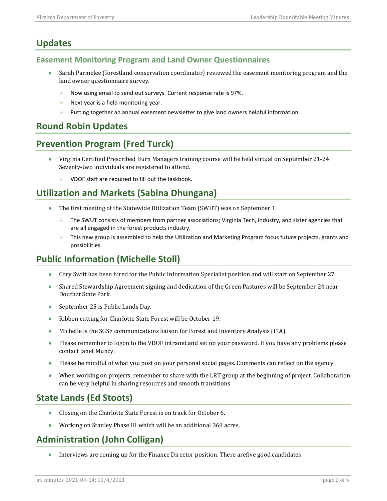## **Updates**

#### **Easement Monitoring Program and Land Owner Questionnaires**

- ♦ Sarah Parmelee (forestland conservation coordinator) reviewed the easement monitoring program and the land owner questionnaire survey.
	- $\triangleright$  Now using email to send out surveys. Current response rate is 97%.
	- $\triangleright$  Next year is a field monitoring year.
	- $\triangleright$  Putting together an annual easement newsletter to give land owners helpful information.

#### **Round Robin Updates**

## **Prevention Program (Fred Turck)**

- ♦ Virginia Certified Prescribed Burn Managers training course will be held virtual on September 21-24. Seventy-two individuals are registered to attend.
	- $\triangleright$  VDOF staff are required to fill out the taskbook.

## **Utilization and Markets (Sabina Dhungana)**

- ♦ The first meeting of the Statewide Utilization Team (SWUT) was on September 1.
	- The SWUT consists of members from partner associations; Virginia Tech, industry, and sister agencies that are all engaged in the forest products industry.
	- $\triangleright$  This new group is assembled to help the Utilization and Marketing Program focus future projects, grants and possibilities.

## **Public Information (Michelle Stoll)**

- ♦ Cory Swift has been hired for the Public Information Specialist position and will start on September 27.
- ♦ Shared Stewardship Agreement signing and dedication of the Green Pastures will be September 24 near Douthat State Park.
- ◆ September 25 is Public Lands Day.
- ♦ Ribbon cutting for Charlotte State Forest will be October 19.
- ♦ Michelle is the SGSF communications liaison for Forest and Inventory Analysis (FIA).
- ♦ Please remember to logon to the VDOF intranet and set up your password. If you have any problems please contact Janet Muncy.
- ♦ Please be mindful of what you post on your personal social pages. Comments can reflect on the agency.
- ♦ When working on projects, remember to share with the LRT group at the beginning of project. Collaboration can be very helpful in sharing resources and smooth transitions.

## **State Lands (Ed Stoots)**

- ♦ Closing on the Charlotte State Forest is on track for October 6.
- Working on Stanley Phase III which will be an additional 368 acres.

## **Administration (John Colligan)**

♦ Interviews are coming up for the Finance Director position. There arefive good candidates.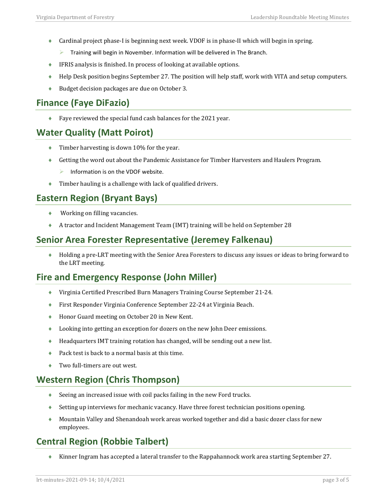- ♦ Cardinal project phase-I is beginning next week. VDOF is in phase-II which will begin in spring.
	- Training will begin in November. Information will be delivered in The Branch.
- ♦ IFRIS analysis is finished. In process of looking at available options.
- ♦ Help Desk position begins September 27. The position will help staff, work with VITA and setup computers.
- ♦ Budget decision packages are due on October 3.

## **Finance (Faye DiFazio)**

♦ Faye reviewed the special fund cash balances for the 2021 year.

## **Water Quality (Matt Poirot)**

- ♦ Timber harvesting is down 10% for the year.
- ♦ Getting the word out about the Pandemic Assistance for Timber Harvesters and Haulers Program.
	- Information is on the VDOF website.
- ♦ Timber hauling is a challenge with lack of qualified drivers.

#### **Eastern Region (Bryant Bays)**

- $\blacklozenge$  Working on filling vacancies.
- ♦ A tractor and Incident Management Team (IMT) training will be held on September 28

#### **Senior Area Forester Representative (Jeremey Falkenau)**

♦ Holding a pre-LRT meeting with the Senior Area Foresters to discuss any issues or ideas to bring forward to the LRT meeting.

#### **Fire and Emergency Response (John Miller)**

- ♦ Virginia Certified Prescribed Burn Managers Training Course September 21-24.
- ♦ First Responder Virginia Conference September 22-24 at Virginia Beach.
- ♦ Honor Guard meeting on October 20 in New Kent.
- ♦ Looking into getting an exception for dozers on the new John Deer emissions.
- ♦ Headquarters IMT training rotation has changed, will be sending out a new list.
- ♦ Pack test is back to a normal basis at this time.
- Two full-timers are out west.

## **Western Region (Chris Thompson)**

- ♦ Seeing an increased issue with coil packs failing in the new Ford trucks.
- ♦ Setting up interviews for mechanic vacancy. Have three forest technician positions opening.
- ♦ Mountain Valley and Shenandoah work areas worked together and did a basic dozer class for new employees.

## **Central Region (Robbie Talbert)**

♦ Kinner Ingram has accepted a lateral transfer to the Rappahannock work area starting September 27.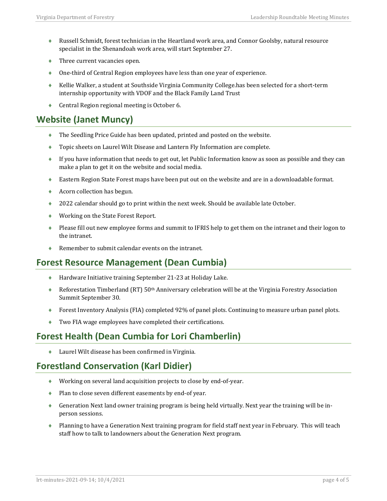- ♦ Russell Schmidt, forest technician in the Heartland work area, and Connor Goolsby, natural resource specialist in the Shenandoah work area, will start September 27.
- $\blacklozenge$  Three current vacancies open.
- ♦ One-third of Central Region employees have less than one year of experience.
- ♦ Kellie Walker, a student at Southside Virginia Community College.has been selected for a short-term internship opportunity with VDOF and the Black Family Land Trust
- Central Region regional meeting is October 6.

#### **Website (Janet Muncy)**

- ♦ The Seedling Price Guide has been updated, printed and posted on the website.
- ♦ Topic sheets on Laurel Wilt Disease and Lantern Fly Information are complete.
- ♦ If you have information that needs to get out, let Public Information know as soon as possible and they can make a plan to get it on the website and social media.
- ♦ Eastern Region State Forest maps have been put out on the website and are in a downloadable format.
- ♦ Acorn collection has begun.
- ♦ 2022 calendar should go to print within the next week. Should be available late October.
- ♦ Working on the State Forest Report.
- ♦ Please fill out new employee forms and summit to IFRIS help to get them on the intranet and their logon to the intranet.
- ♦ Remember to submit calendar events on the intranet.

#### **Forest Resource Management (Dean Cumbia)**

- ♦ Hardware Initiative training September 21-23 at Holiday Lake.
- ♦ Reforestation Timberland (RT) 50<sup>th</sup> Anniversary celebration will be at the Virginia Forestry Association Summit September 30.
- ♦ Forest Inventory Analysis (FIA) completed 92% of panel plots. Continuing to measure urban panel plots.
- ♦ Two FIA wage employees have completed their certifications.

## **Forest Health (Dean Cumbia for Lori Chamberlin)**

♦ Laurel Wilt disease has been confirmed in Virginia.

#### **Forestland Conservation (Karl Didier)**

- ♦ Working on several land acquisition projects to close by end-of-year.
- ♦ Plan to close seven different easements by end-of year.
- ♦ Generation Next land owner training program is being held virtually. Next year the training will be inperson sessions.
- ♦ Planning to have a Generation Next training program for field staff next year in February. This will teach staff how to talk to landowners about the Generation Next program.